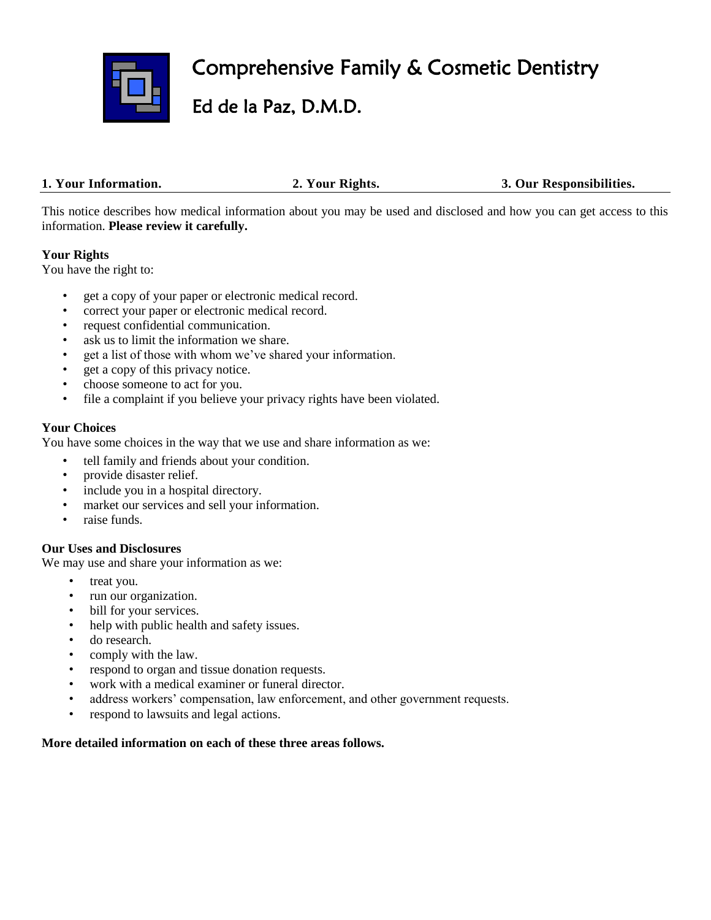

# Comprehensive Family & Cosmetic Dentistry

# Ed de la Paz, D.M.D.

**1. Your Information. 2. Your Rights. 3. Our Responsibilities.**

This notice describes how medical information about you may be used and disclosed and how you can get access to this information. **Please review it carefully.**

# **Your Rights**

You have the right to:

- get a copy of your paper or electronic medical record.
- correct your paper or electronic medical record.
- request confidential communication.
- ask us to limit the information we share.
- get a list of those with whom we've shared your information.
- get a copy of this privacy notice.
- choose someone to act for you.
- file a complaint if you believe your privacy rights have been violated.

# **Your Choices**

You have some choices in the way that we use and share information as we:

- tell family and friends about your condition.
- provide disaster relief.
- include you in a hospital directory.
- market our services and sell your information.
- raise funds.

# **Our Uses and Disclosures**

We may use and share your information as we:

- treat you.
- run our organization.
- bill for your services.
- help with public health and safety issues.
- do research.
- comply with the law.
- respond to organ and tissue donation requests.
- work with a medical examiner or funeral director.
- address workers' compensation, law enforcement, and other government requests.
- respond to lawsuits and legal actions.

# **More detailed information on each of these three areas follows.**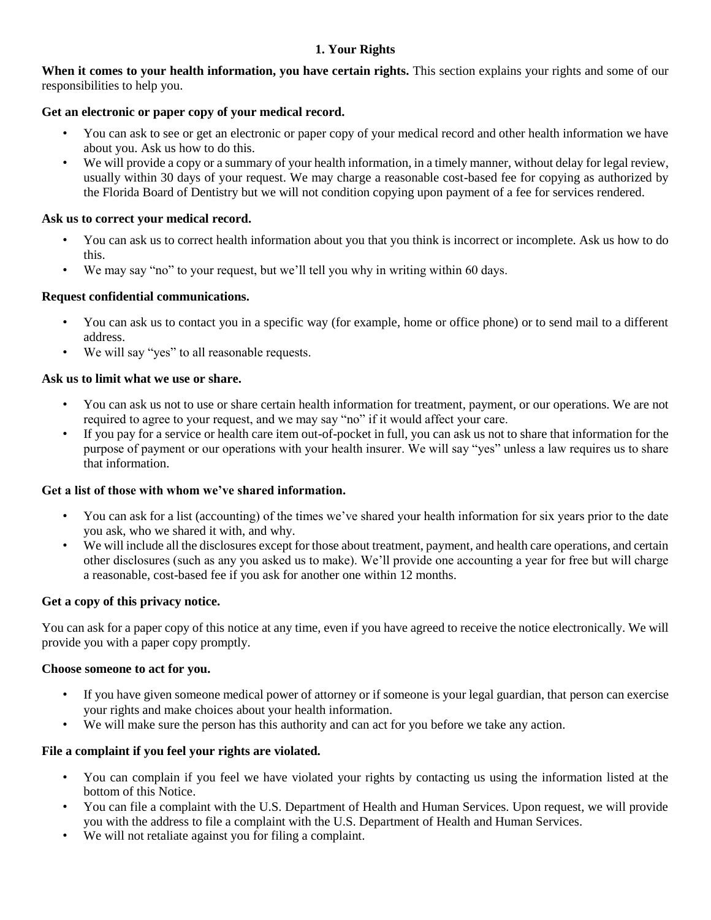# **1. Your Rights**

When it comes to your health information, you have certain rights. This section explains your rights and some of our responsibilities to help you.

# **Get an electronic or paper copy of your medical record.**

- You can ask to see or get an electronic or paper copy of your medical record and other health information we have about you. Ask us how to do this.
- We will provide a copy or a summary of your health information, in a timely manner, without delay for legal review, usually within 30 days of your request. We may charge a reasonable cost-based fee for copying as authorized by the Florida Board of Dentistry but we will not condition copying upon payment of a fee for services rendered.

# **Ask us to correct your medical record.**

- You can ask us to correct health information about you that you think is incorrect or incomplete. Ask us how to do this.
- We may say "no" to your request, but we'll tell you why in writing within 60 days.

# **Request confidential communications.**

- You can ask us to contact you in a specific way (for example, home or office phone) or to send mail to a different address.
- We will say "yes" to all reasonable requests.

# **Ask us to limit what we use or share.**

- You can ask us not to use or share certain health information for treatment, payment, or our operations. We are not required to agree to your request, and we may say "no" if it would affect your care.
- If you pay for a service or health care item out-of-pocket in full, you can ask us not to share that information for the purpose of payment or our operations with your health insurer. We will say "yes" unless a law requires us to share that information.

# **Get a list of those with whom we've shared information.**

- You can ask for a list (accounting) of the times we've shared your health information for six years prior to the date you ask, who we shared it with, and why.
- We will include all the disclosures except for those about treatment, payment, and health care operations, and certain other disclosures (such as any you asked us to make). We'll provide one accounting a year for free but will charge a reasonable, cost-based fee if you ask for another one within 12 months.

# **Get a copy of this privacy notice.**

You can ask for a paper copy of this notice at any time, even if you have agreed to receive the notice electronically. We will provide you with a paper copy promptly.

# **Choose someone to act for you.**

- If you have given someone medical power of attorney or if someone is your legal guardian, that person can exercise your rights and make choices about your health information.
- We will make sure the person has this authority and can act for you before we take any action.

# **File a complaint if you feel your rights are violated.**

- You can complain if you feel we have violated your rights by contacting us using the information listed at the bottom of this Notice.
- You can file a complaint with the U.S. Department of Health and Human Services. Upon request, we will provide you with the address to file a complaint with the U.S. Department of Health and Human Services.
- We will not retaliate against you for filing a complaint.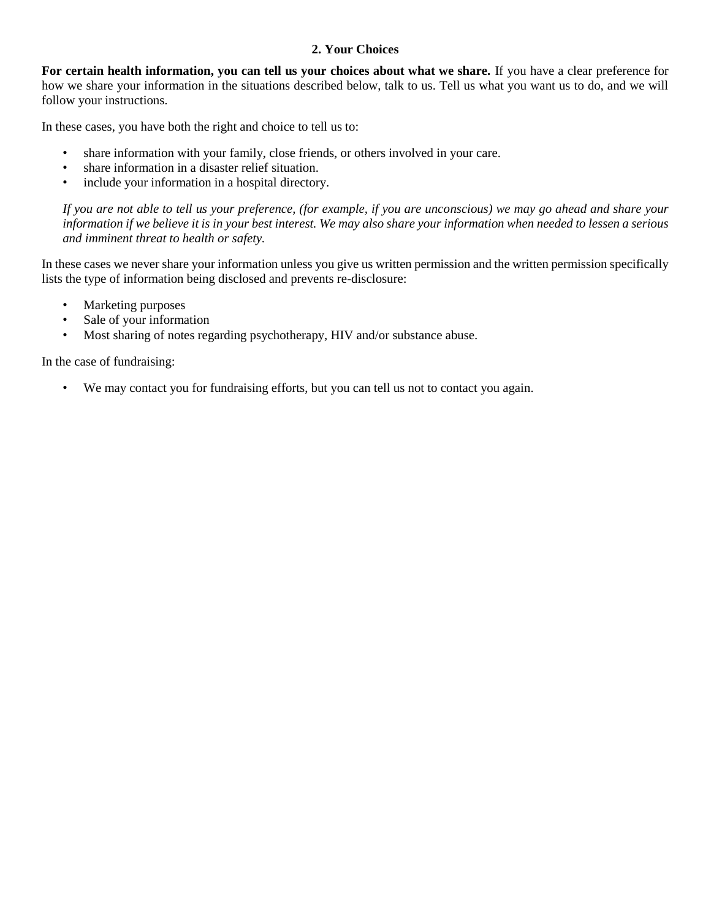# **2. Your Choices**

**For certain health information, you can tell us your choices about what we share.** If you have a clear preference for how we share your information in the situations described below, talk to us. Tell us what you want us to do, and we will follow your instructions.

In these cases, you have both the right and choice to tell us to:

- share information with your family, close friends, or others involved in your care.
- share information in a disaster relief situation.
- include your information in a hospital directory.

*If you are not able to tell us your preference, (for example, if you are unconscious) we may go ahead and share your information if we believe it is in your best interest. We may also share your information when needed to lessen a serious and imminent threat to health or safety.*

In these cases we never share your information unless you give us written permission and the written permission specifically lists the type of information being disclosed and prevents re-disclosure:

- Marketing purposes
- Sale of your information
- Most sharing of notes regarding psychotherapy, HIV and/or substance abuse.

In the case of fundraising:

• We may contact you for fundraising efforts, but you can tell us not to contact you again.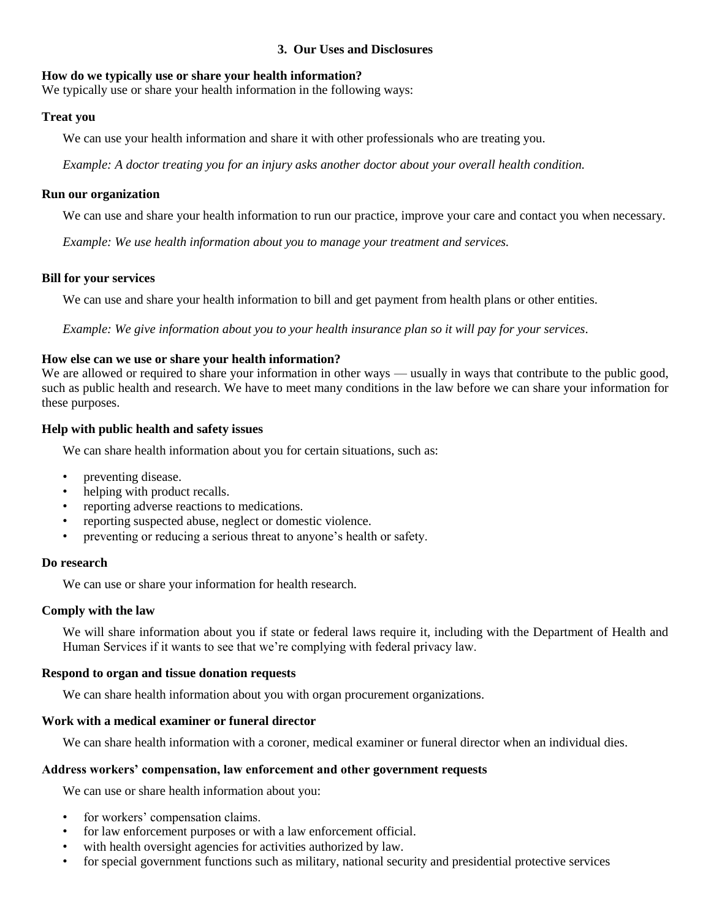# **3. Our Uses and Disclosures**

#### **How do we typically use or share your health information?**

We typically use or share your health information in the following ways:

#### **Treat you**

We can use your health information and share it with other professionals who are treating you.

*Example: A doctor treating you for an injury asks another doctor about your overall health condition.*

#### **Run our organization**

We can use and share your health information to run our practice, improve your care and contact you when necessary.

*Example: We use health information about you to manage your treatment and services.* 

# **Bill for your services**

We can use and share your health information to bill and get payment from health plans or other entities.

*Example: We give information about you to your health insurance plan so it will pay for your services.* 

#### **How else can we use or share your health information?**

We are allowed or required to share your information in other ways — usually in ways that contribute to the public good, such as public health and research. We have to meet many conditions in the law before we can share your information for these purposes.

#### **Help with public health and safety issues**

We can share health information about you for certain situations, such as:

- preventing disease.
- helping with product recalls.
- reporting adverse reactions to medications.
- reporting suspected abuse, neglect or domestic violence.
- preventing or reducing a serious threat to anyone's health or safety.

#### **Do research**

We can use or share your information for health research.

#### **Comply with the law**

We will share information about you if state or federal laws require it, including with the Department of Health and Human Services if it wants to see that we're complying with federal privacy law.

#### **Respond to organ and tissue donation requests**

We can share health information about you with organ procurement organizations.

# **Work with a medical examiner or funeral director**

We can share health information with a coroner, medical examiner or funeral director when an individual dies.

#### **Address workers' compensation, law enforcement and other government requests**

We can use or share health information about you:

- for workers' compensation claims.
- for law enforcement purposes or with a law enforcement official.
- with health oversight agencies for activities authorized by law.
- for special government functions such as military, national security and presidential protective services